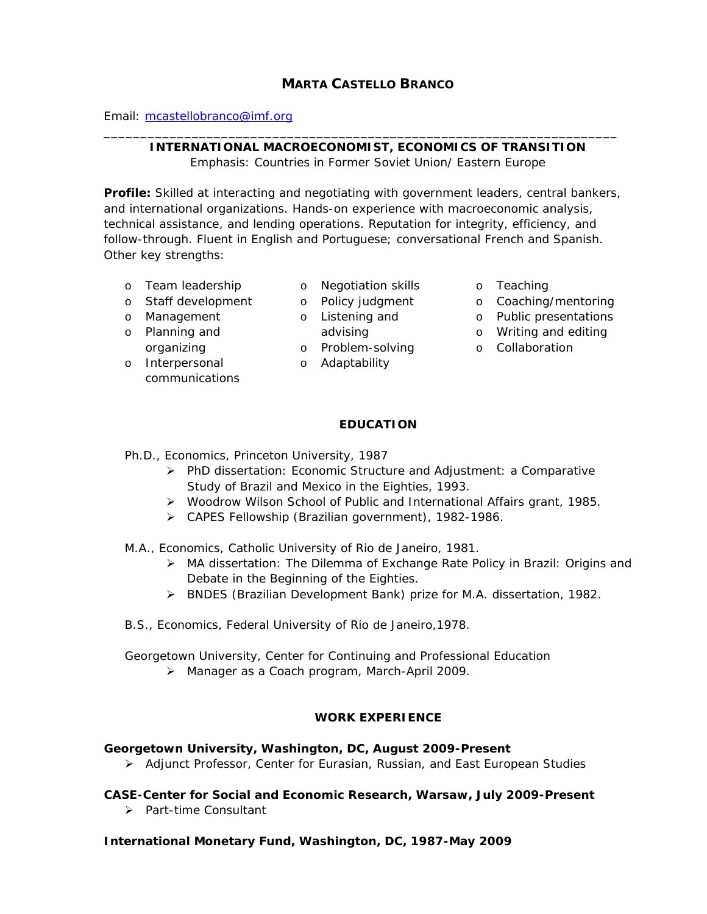# **MARTA CASTELLO BRANCO**

Email: [mcastellobranco@imf.org](mailto:mcastellobranco@imf.org)

### \_\_\_\_\_\_\_\_\_\_\_\_\_\_\_\_\_\_\_\_\_\_\_\_\_\_\_\_\_\_\_\_\_\_\_\_\_\_\_\_\_\_\_\_\_\_\_\_\_\_\_\_\_\_\_\_\_\_\_\_\_\_\_\_\_\_\_\_\_\_ **INTERNATIONAL MACROECONOMIST, ECONOMICS OF TRANSITION**

Emphasis: Countries in Former Soviet Union/ Eastern Europe

**Profile:** Skilled at interacting and negotiating with government leaders, central bankers, and international organizations. Hands-on experience with macroeconomic analysis, technical assistance, and lending operations. Reputation for integrity, efficiency, and follow-through. Fluent in English and Portuguese; conversational French and Spanish. Other key strengths:

- o Team leadership
- o Staff development
- o Management
- o Planning and organizing
- o Interpersonal communications
- o Negotiation skills o Teaching
- o n<del>egonal.</del><br>o Policy judgment
- o Listening and
	- advising
	- o Problem-solving
	- o Adaptability
- 
- o Coaching/mentoring
- o Public presentations
	- o Writing and editing
		- o Collaboration

## **EDUCATION**

- Ph.D., Economics, Princeton University, 1987
	- ¾ PhD dissertation: *Economic Structure and Adjustment: a Comparative Study of Brazil and Mexico in the Eighties*, 1993.
	- ¾ Woodrow Wilson School of Public and International Affairs grant, 1985.
	- ¾ CAPES Fellowship (Brazilian government), 1982-1986.
- M.A., Economics, Catholic University of Rio de Janeiro, 1981.
	- ¾ MA dissertation: *The Dilemma of Exchange Rate Policy in Brazil: Origins and Debate in the Beginning of the Eighties.*
	- ¾ BNDES (Brazilian Development Bank) prize for M.A. dissertation, 1982.
- B.S., Economics, Federal University of Rio de Janeiro,1978.

Georgetown University, Center for Continuing and Professional Education

¾ Manager as a Coach program, March-April 2009.

# **WORK EXPERIENCE**

# **Georgetown University, Washington, DC, August 2009-Present**

¾ Adjunct Professor, Center for Eurasian, Russian, and East European Studies

# **CASE-Center for Social and Economic Research, Warsaw, July 2009-Present**

¾ Part-time Consultant

# **International Monetary Fund, Washington, DC, 1987-May 2009**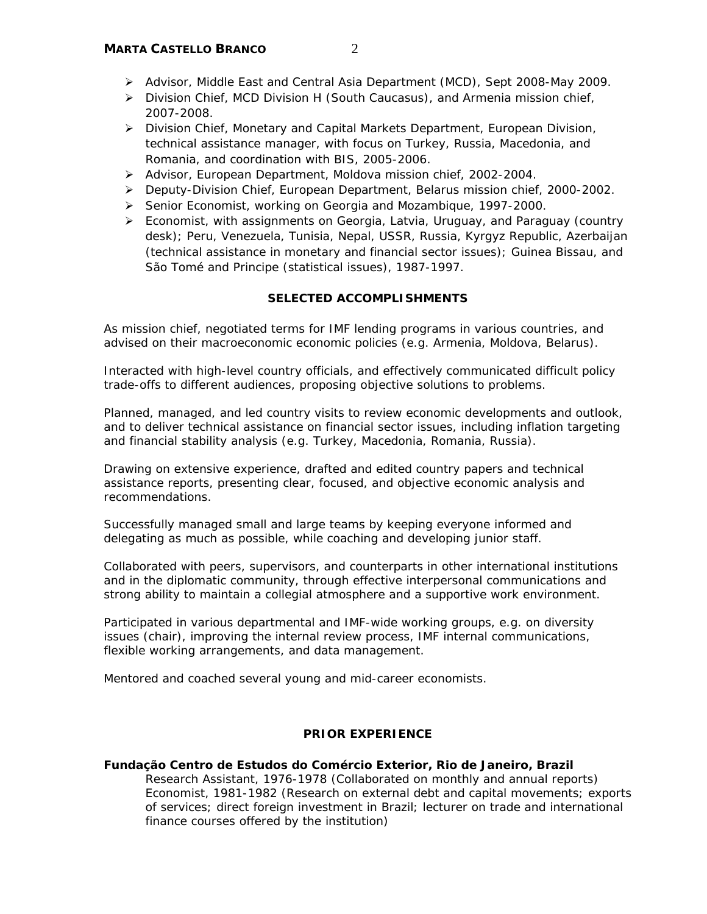- ¾ Advisor, Middle East and Central Asia Department (MCD), Sept 2008-May 2009.
- ¾ Division Chief, MCD Division H (South Caucasus), and Armenia mission chief, 2007-2008.
- ¾ Division Chief, Monetary and Capital Markets Department, European Division, technical assistance manager, with focus on Turkey, Russia, Macedonia, and Romania, and coordination with BIS, 2005-2006.
- ¾ Advisor, European Department, Moldova mission chief, 2002-2004.
- ¾ Deputy-Division Chief, European Department, Belarus mission chief, 2000-2002.
- ¾ Senior Economist, working on Georgia and Mozambique, 1997-2000.
- $\triangleright$  Economist, with assignments on Georgia, Latvia, Uruguay, and Paraguay (country desk); Peru, Venezuela, Tunisia, Nepal, USSR, Russia, Kyrgyz Republic, Azerbaijan (technical assistance in monetary and financial sector issues); Guinea Bissau, and São Tomé and Principe (statistical issues), 1987-1997.

## **SELECTED ACCOMPLISHMENTS**

As mission chief, negotiated terms for IMF lending programs in various countries, and advised on their macroeconomic economic policies (e.g. Armenia, Moldova, Belarus).

Interacted with high-level country officials, and effectively communicated difficult policy trade-offs to different audiences, proposing objective solutions to problems.

Planned, managed, and led country visits to review economic developments and outlook, and to deliver technical assistance on financial sector issues, including inflation targeting and financial stability analysis (e.g. Turkey, Macedonia, Romania, Russia).

Drawing on extensive experience, drafted and edited country papers and technical assistance reports, presenting clear, focused, and objective economic analysis and recommendations.

Successfully managed small and large teams by keeping everyone informed and delegating as much as possible, while coaching and developing junior staff.

Collaborated with peers, supervisors, and counterparts in other international institutions and in the diplomatic community, through effective interpersonal communications and strong ability to maintain a collegial atmosphere and a supportive work environment.

Participated in various departmental and IMF-wide working groups, e.g. on diversity issues (chair), improving the internal review process, IMF internal communications, flexible working arrangements, and data management.

Mentored and coached several young and mid-career economists.

## **PRIOR EXPERIENCE**

## **Fundação Centro de Estudos do Comércio Exterior, Rio de Janeiro, Brazil**

Research Assistant, 1976-1978 (Collaborated on monthly and annual reports) Economist, 1981-1982 (Research on external debt and capital movements; exports of services; direct foreign investment in Brazil; lecturer on trade and international finance courses offered by the institution)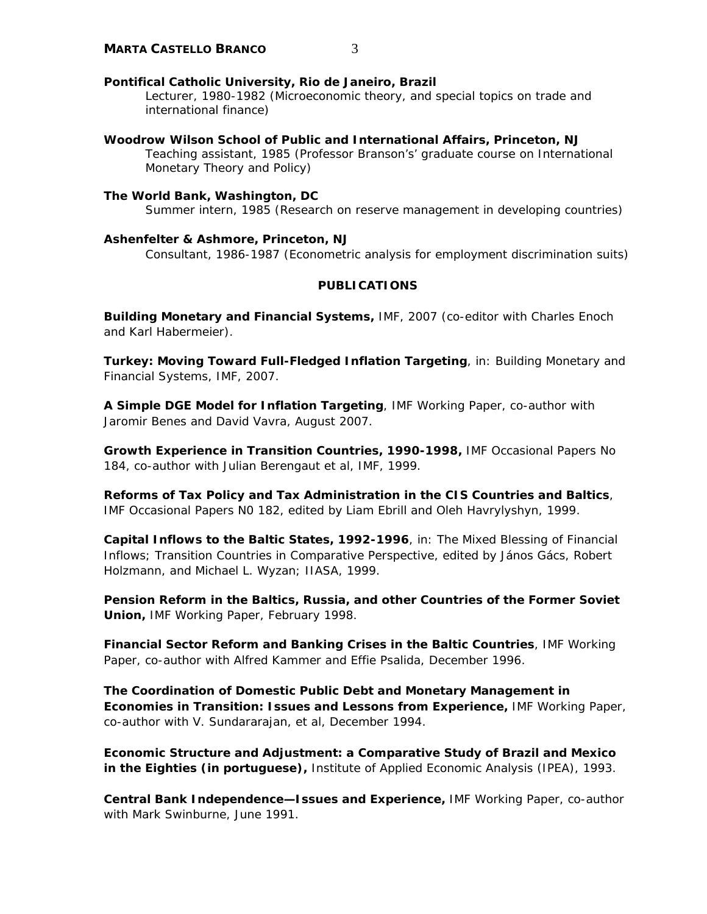### **Pontifical Catholic University, Rio de Janeiro, Brazil**

Lecturer, 1980-1982 (Microeconomic theory, and special topics on trade and international finance)

**Woodrow Wilson School of Public and International Affairs, Princeton, NJ**  Teaching assistant, 1985 (Professor Branson's' graduate course on International Monetary Theory and Policy)

### **The World Bank, Washington, DC**

Summer intern, 1985 (Research on reserve management in developing countries)

#### **Ashenfelter & Ashmore, Princeton, NJ**

Consultant, 1986-1987 (Econometric analysis for employment discrimination suits)

## **PUBLICATIONS**

*Building Monetary and Financial Systems,* IMF, 2007 (co-editor with Charles Enoch and Karl Habermeier).

**Turkey: Moving Toward Full-Fledged Inflation Targeting, in: Building Monetary and** Financial Systems, IMF, 2007.

*A Simple DGE Model for Inflation Targeting*, IMF Working Paper, co-author with Jaromir Benes and David Vavra, August 2007.

**Growth Experience in Transition Countries, 1990-1998, IMF Occasional Papers No** 184, co-author with Julian Berengaut et al, IMF, 1999.

*Reforms of Tax Policy and Tax Administration in the CIS Countries and Baltics*, IMF Occasional Papers N0 182, edited by Liam Ebrill and Oleh Havrylyshyn, 1999.

*Capital Inflows to the Baltic States, 1992-1996*, in: The Mixed Blessing of Financial Inflows; Transition Countries in Comparative Perspective, edited by János Gács, Robert Holzmann, and Michael L. Wyzan; IIASA, 1999.

*Pension Reform in the Baltics, Russia, and other Countries of the Former Soviet Union,* IMF Working Paper, February 1998.

*Financial Sector Reform and Banking Crises in the Baltic Countries*, IMF Working Paper, co-author with Alfred Kammer and Effie Psalida, December 1996.

*The Coordination of Domestic Public Debt and Monetary Management in Economies in Transition: Issues and Lessons from Experience,* IMF Working Paper, co-author with V. Sundararajan, et al, December 1994.

*Economic Structure and Adjustment: a Comparative Study of Brazil and Mexico in the Eighties (in portuguese),* Institute of Applied Economic Analysis (IPEA), 1993.

*Central Bank Independence—Issues and Experience,* IMF Working Paper, co-author with Mark Swinburne, June 1991.